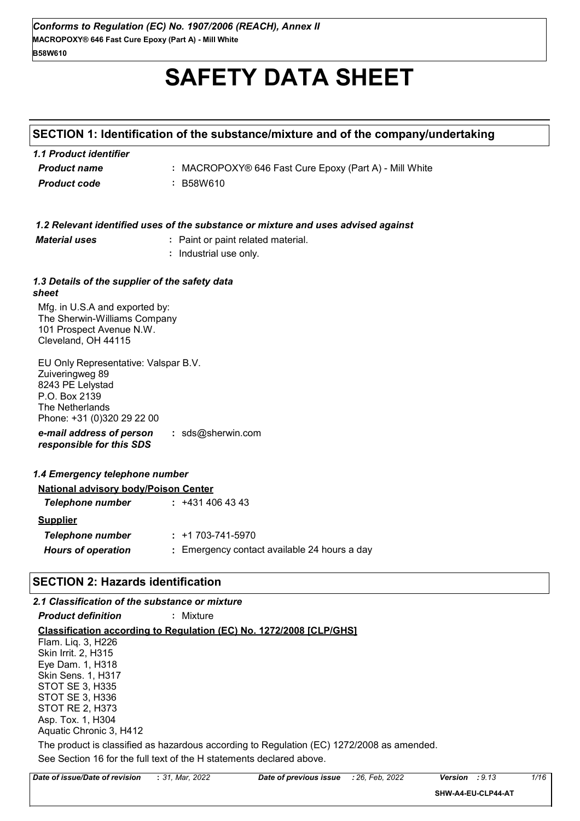# **SAFETY DATA SHEET**

# **SECTION 1: Identification of the substance/mixture and of the company/undertaking**

| 1.1 Product identifier |                                                        |
|------------------------|--------------------------------------------------------|
| <b>Product name</b>    | : MACROPOXY® 646 Fast Cure Epoxy (Part A) - Mill White |
| <b>Product code</b>    | : B58W610                                              |

|                                                                                                                                               | 1.2 Relevant identified uses of the substance or mixture and uses advised against |
|-----------------------------------------------------------------------------------------------------------------------------------------------|-----------------------------------------------------------------------------------|
| <b>Material uses</b>                                                                                                                          | : Paint or paint related material.                                                |
|                                                                                                                                               | Industrial use only.<br>÷.                                                        |
|                                                                                                                                               |                                                                                   |
| 1.3 Details of the supplier of the safety data<br>sheet                                                                                       |                                                                                   |
| Mfg. in U.S.A and exported by:<br>The Sherwin-Williams Company<br>101 Prospect Avenue N.W.<br>Cleveland, OH 44115                             |                                                                                   |
| EU Only Representative: Valspar B.V.<br>Zuiveringweg 89<br>8243 PE Lelystad<br>P.O. Box 2139<br>The Netherlands<br>Phone: +31 (0)320 29 22 00 |                                                                                   |
| e-mail address of person<br>responsible for this SDS                                                                                          | : sds@sherwin.com                                                                 |
| 1.4 Emergency telephone number                                                                                                                |                                                                                   |
| <b>National advisory body/Poison Center</b>                                                                                                   |                                                                                   |
| Telephone number                                                                                                                              | $: +4314064343$                                                                   |
| <b>Supplier</b>                                                                                                                               |                                                                                   |
| <b>Telephone number</b>                                                                                                                       | $: +1703 - 741 - 5970$                                                            |
| <b>Hours of operation</b>                                                                                                                     | : Emergency contact available 24 hours a day                                      |
|                                                                                                                                               |                                                                                   |
| <b>SECTION 2: Hazards identification</b>                                                                                                      |                                                                                   |

# *2.1 Classification of the substance or mixture*

| <b>Product definition</b>                                                                 | : Mixture     |                        |              |       |
|-------------------------------------------------------------------------------------------|---------------|------------------------|--------------|-------|
| Classification according to Regulation (EC) No. 1272/2008 [CLP/GHS]                       |               |                        |              |       |
| Flam. Liq. 3, H226                                                                        |               |                        |              |       |
| Skin Irrit. 2, H315                                                                       |               |                        |              |       |
| Eye Dam. 1, H318                                                                          |               |                        |              |       |
| <b>Skin Sens. 1, H317</b>                                                                 |               |                        |              |       |
| STOT SE 3, H335                                                                           |               |                        |              |       |
| STOT SE 3, H336                                                                           |               |                        |              |       |
| <b>STOT RE 2, H373</b>                                                                    |               |                        |              |       |
| Asp. Tox. 1, H304                                                                         |               |                        |              |       |
| Aquatic Chronic 3, H412                                                                   |               |                        |              |       |
| The product is classified as hazardous according to Regulation (EC) 1272/2008 as amended. |               |                        |              |       |
| See Section 16 for the full text of the H statements declared above.                      |               |                        |              |       |
| ate of issue/Date of revision                                                             | • 31 Mar 2022 | Date of previous issue | 126 Feb 2022 | Versi |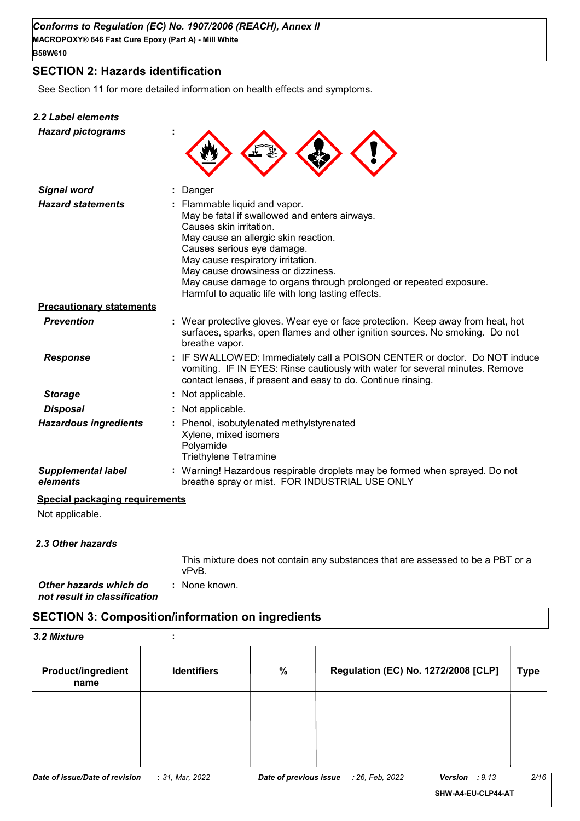### **SECTION 2: Hazards identification**

See Section 11 for more detailed information on health effects and symptoms.

#### *2.2 Label elements*

| z.z Label elements<br><b>Hazard pictograms</b> |                                                                                                                           |
|------------------------------------------------|---------------------------------------------------------------------------------------------------------------------------|
| <b>Signal word</b>                             | Danger                                                                                                                    |
| <b>Hazard statements</b>                       | : Flammable liquid and vapor.<br>May be fatal if swallowed an<br>Causes skin irritation.<br>May cause an allergic skin re |

|                                       | May be fatal if swallowed and enters airways.<br>Causes skin irritation.<br>May cause an allergic skin reaction.<br>Causes serious eye damage.<br>May cause respiratory irritation.<br>May cause drowsiness or dizziness.<br>May cause damage to organs through prolonged or repeated exposure.<br>Harmful to aquatic life with long lasting effects. |
|---------------------------------------|-------------------------------------------------------------------------------------------------------------------------------------------------------------------------------------------------------------------------------------------------------------------------------------------------------------------------------------------------------|
| <b>Precautionary statements</b>       |                                                                                                                                                                                                                                                                                                                                                       |
| <b>Prevention</b>                     | : Wear protective gloves. Wear eye or face protection. Keep away from heat, hot<br>surfaces, sparks, open flames and other ignition sources. No smoking. Do not<br>breathe vapor.                                                                                                                                                                     |
| <b>Response</b>                       | : IF SWALLOWED: Immediately call a POISON CENTER or doctor. Do NOT induce<br>vomiting. IF IN EYES: Rinse cautiously with water for several minutes. Remove<br>contact lenses, if present and easy to do. Continue rinsing.                                                                                                                            |
| <b>Storage</b>                        | : Not applicable.                                                                                                                                                                                                                                                                                                                                     |
| <b>Disposal</b>                       | : Not applicable.                                                                                                                                                                                                                                                                                                                                     |
| <b>Hazardous ingredients</b>          | : Phenol, isobutylenated methylstyrenated<br>Xylene, mixed isomers<br>Polyamide<br><b>Triethylene Tetramine</b>                                                                                                                                                                                                                                       |
| <b>Supplemental label</b><br>elements | : Warning! Hazardous respirable droplets may be formed when sprayed. Do not<br>breathe spray or mist. FOR INDUSTRIAL USE ONLY                                                                                                                                                                                                                         |

#### **Special packaging requirements**

Not applicable.

#### *2.3 Other hazards*

This mixture does not contain any substances that are assessed to be a PBT or a vPvB.

*Other hazards which do* **:** *not result in classification* : None known.

# **SECTION 3: Composition/information on ingredients**

| 3.2 Mixture                       |                    |                        |                                     |                    |             |
|-----------------------------------|--------------------|------------------------|-------------------------------------|--------------------|-------------|
| <b>Product/ingredient</b><br>name | <b>Identifiers</b> | $\%$                   | Regulation (EC) No. 1272/2008 [CLP] |                    | <b>Type</b> |
|                                   |                    |                        |                                     |                    |             |
|                                   |                    |                        |                                     |                    |             |
| Date of issue/Date of revision    | : 31, Mar, 2022    | Date of previous issue | : 26, Feb, 2022                     | : 9.13<br>Version  | 2/16        |
|                                   |                    |                        |                                     | SHW-A4-EU-CLP44-AT |             |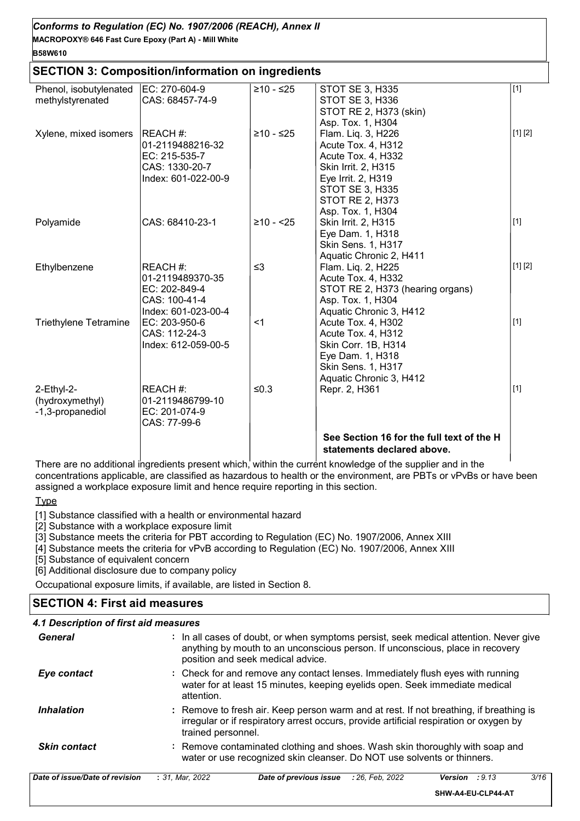#### **MACROPOXY® 646 Fast Cure Epoxy (Part A) - Mill White** *Conforms to Regulation (EC) No. 1907/2006 (REACH), Annex II*

#### **B58W610**

#### **SECTION 3: Composition/information on ingredients**

| Phenol, isobutylenated       | EC: 270-604-9       | ≥10 - ≤25  | STOT SE 3, H335                           | $[1]$   |
|------------------------------|---------------------|------------|-------------------------------------------|---------|
| methylstyrenated             | CAS: 68457-74-9     |            | <b>STOT SE 3, H336</b>                    |         |
|                              |                     |            | STOT RE 2, H373 (skin)                    |         |
|                              |                     |            | Asp. Tox. 1, H304                         |         |
| Xylene, mixed isomers        | REACH#:             | ≥10 - ≤25  | Flam. Liq. 3, H226                        | [1] [2] |
|                              | 01-2119488216-32    |            | Acute Tox. 4, H312                        |         |
|                              | EC: 215-535-7       |            | Acute Tox. 4, H332                        |         |
|                              | CAS: 1330-20-7      |            | Skin Irrit. 2, H315                       |         |
|                              | Index: 601-022-00-9 |            | Eye Irrit. 2, H319                        |         |
|                              |                     |            | <b>STOT SE 3, H335</b>                    |         |
|                              |                     |            | <b>STOT RE 2, H373</b>                    |         |
|                              |                     |            | Asp. Tox. 1, H304                         |         |
| Polyamide                    | CAS: 68410-23-1     | $≥10 - 25$ | Skin Irrit. 2, H315                       | $[1]$   |
|                              |                     |            | Eye Dam. 1, H318                          |         |
|                              |                     |            | Skin Sens. 1, H317                        |         |
|                              |                     |            | Aquatic Chronic 2, H411                   |         |
| Ethylbenzene                 | REACH#:             | $\leq$ 3   | Flam. Liq. 2, H225                        | [1] [2] |
|                              | 01-2119489370-35    |            | Acute Tox. 4, H332                        |         |
|                              | EC: 202-849-4       |            | STOT RE 2, H373 (hearing organs)          |         |
|                              | CAS: 100-41-4       |            | Asp. Tox. 1, H304                         |         |
|                              | Index: 601-023-00-4 |            | Aquatic Chronic 3, H412                   |         |
| <b>Triethylene Tetramine</b> | EC: 203-950-6       | $<$ 1      | Acute Tox. 4, H302                        | $[1]$   |
|                              | CAS: 112-24-3       |            | Acute Tox. 4, H312                        |         |
|                              | Index: 612-059-00-5 |            | Skin Corr. 1B, H314                       |         |
|                              |                     |            | Eye Dam. 1, H318                          |         |
|                              |                     |            | Skin Sens. 1, H317                        |         |
|                              |                     |            | Aquatic Chronic 3, H412                   |         |
| $2$ -Ethyl- $2$ -            | REACH #:            | $≤0.3$     | Repr. 2, H361                             | $[1]$   |
| (hydroxymethyl)              | 01-2119486799-10    |            |                                           |         |
| -1,3-propanediol             | EC: 201-074-9       |            |                                           |         |
|                              | CAS: 77-99-6        |            |                                           |         |
|                              |                     |            | See Section 16 for the full text of the H |         |
|                              |                     |            | statements declared above.                |         |

There are no additional ingredients present which, within the current knowledge of the supplier and in the concentrations applicable, are classified as hazardous to health or the environment, are PBTs or vPvBs or have been assigned a workplace exposure limit and hence require reporting in this section.

#### **Type**

[1] Substance classified with a health or environmental hazard

[2] Substance with a workplace exposure limit

[3] Substance meets the criteria for PBT according to Regulation (EC) No. 1907/2006, Annex XIII

[4] Substance meets the criteria for vPvB according to Regulation (EC) No. 1907/2006, Annex XIII

[5] Substance of equivalent concern

[6] Additional disclosure due to company policy

Occupational exposure limits, if available, are listed in Section 8.

## **SECTION 4: First aid measures**

#### *4.1 Description of first aid measures*

| General             | : In all cases of doubt, or when symptoms persist, seek medical attention. Never give<br>anything by mouth to an unconscious person. If unconscious, place in recovery<br>position and seek medical advice. |
|---------------------|-------------------------------------------------------------------------------------------------------------------------------------------------------------------------------------------------------------|
| Eye contact         | : Check for and remove any contact lenses. Immediately flush eyes with running<br>water for at least 15 minutes, keeping eyelids open. Seek immediate medical<br>attention.                                 |
| <b>Inhalation</b>   | : Remove to fresh air. Keep person warm and at rest. If not breathing, if breathing is<br>irregular or if respiratory arrest occurs, provide artificial respiration or oxygen by<br>trained personnel.      |
| <b>Skin contact</b> | : Remove contaminated clothing and shoes. Wash skin thoroughly with soap and<br>water or use recognized skin cleanser. Do NOT use solvents or thinners.                                                     |

| Date of issue/Date of revision | : 31. Mar. 2022 | <b>Date of previous issue</b> : 26, Feb, 2022 | Version<br>:9.13   | 3/16 |
|--------------------------------|-----------------|-----------------------------------------------|--------------------|------|
|                                |                 |                                               | SHW-A4-EU-CLP44-AT |      |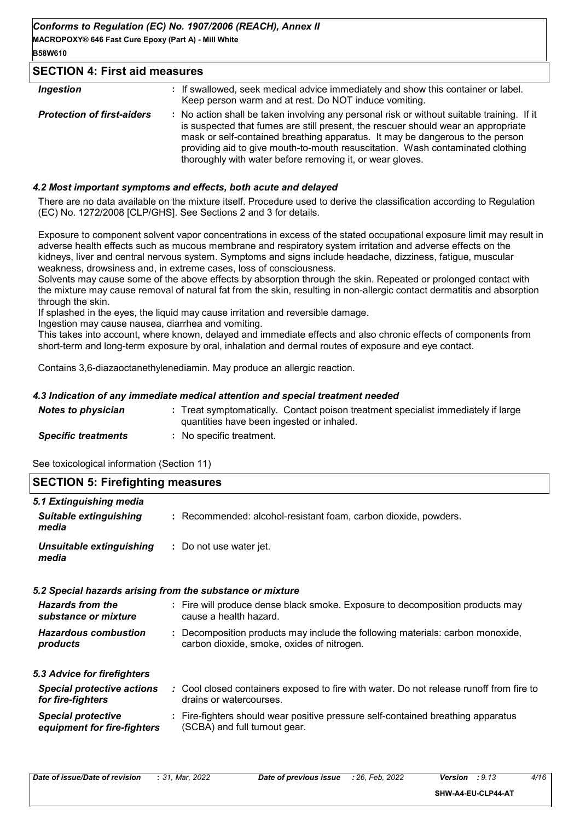**MACROPOXY® 646 Fast Cure Epoxy (Part A) - Mill White B58W610**

#### **SECTION 4: First aid measures**

| <b>Ingestion</b>                  | : If swallowed, seek medical advice immediately and show this container or label.<br>Keep person warm and at rest. Do NOT induce vomiting.                                                                                                                                                                                                                                                                      |
|-----------------------------------|-----------------------------------------------------------------------------------------------------------------------------------------------------------------------------------------------------------------------------------------------------------------------------------------------------------------------------------------------------------------------------------------------------------------|
| <b>Protection of first-aiders</b> | : No action shall be taken involving any personal risk or without suitable training. If it<br>is suspected that fumes are still present, the rescuer should wear an appropriate<br>mask or self-contained breathing apparatus. It may be dangerous to the person<br>providing aid to give mouth-to-mouth resuscitation. Wash contaminated clothing<br>thoroughly with water before removing it, or wear gloves. |

#### *4.2 Most important symptoms and effects, both acute and delayed*

There are no data available on the mixture itself. Procedure used to derive the classification according to Regulation (EC) No. 1272/2008 [CLP/GHS]. See Sections 2 and 3 for details.

Exposure to component solvent vapor concentrations in excess of the stated occupational exposure limit may result in adverse health effects such as mucous membrane and respiratory system irritation and adverse effects on the kidneys, liver and central nervous system. Symptoms and signs include headache, dizziness, fatigue, muscular weakness, drowsiness and, in extreme cases, loss of consciousness.

Solvents may cause some of the above effects by absorption through the skin. Repeated or prolonged contact with the mixture may cause removal of natural fat from the skin, resulting in non-allergic contact dermatitis and absorption through the skin.

If splashed in the eyes, the liquid may cause irritation and reversible damage.

Ingestion may cause nausea, diarrhea and vomiting.

This takes into account, where known, delayed and immediate effects and also chronic effects of components from short-term and long-term exposure by oral, inhalation and dermal routes of exposure and eye contact.

Contains 3,6-diazaoctanethylenediamin. May produce an allergic reaction.

#### *4.3 Indication of any immediate medical attention and special treatment needed*

| <b>Notes to physician</b>  | : Treat symptomatically. Contact poison treatment specialist immediately if large<br>quantities have been ingested or inhaled. |
|----------------------------|--------------------------------------------------------------------------------------------------------------------------------|
| <b>Specific treatments</b> | : No specific treatment.                                                                                                       |

See toxicological information (Section 11)

| <b>SECTION 5: Firefighting measures</b>                             |                                                                                                                              |
|---------------------------------------------------------------------|------------------------------------------------------------------------------------------------------------------------------|
| 5.1 Extinguishing media<br><b>Suitable extinguishing</b><br>media   | : Recommended: alcohol-resistant foam, carbon dioxide, powders.                                                              |
| <b>Unsuitable extinguishing</b><br>: Do not use water jet.<br>media |                                                                                                                              |
| 5.2 Special hazards arising from the substance or mixture           |                                                                                                                              |
| <b>Hazards from the</b><br>substance or mixture                     | : Fire will produce dense black smoke. Exposure to decomposition products may<br>cause a health hazard.                      |
| <b>Hazardous combustion</b><br>products                             | : Decomposition products may include the following materials: carbon monoxide,<br>carbon dioxide, smoke, oxides of nitrogen. |
| 5.3 Advice for firefighters                                         |                                                                                                                              |
| <b>Special protective actions</b><br>for fire-fighters              | : Cool closed containers exposed to fire with water. Do not release runoff from fire to<br>drains or watercourses.           |
| <b>Special protective</b><br>equipment for fire-fighters            | : Fire-fighters should wear positive pressure self-contained breathing apparatus<br>(SCBA) and full turnout gear.            |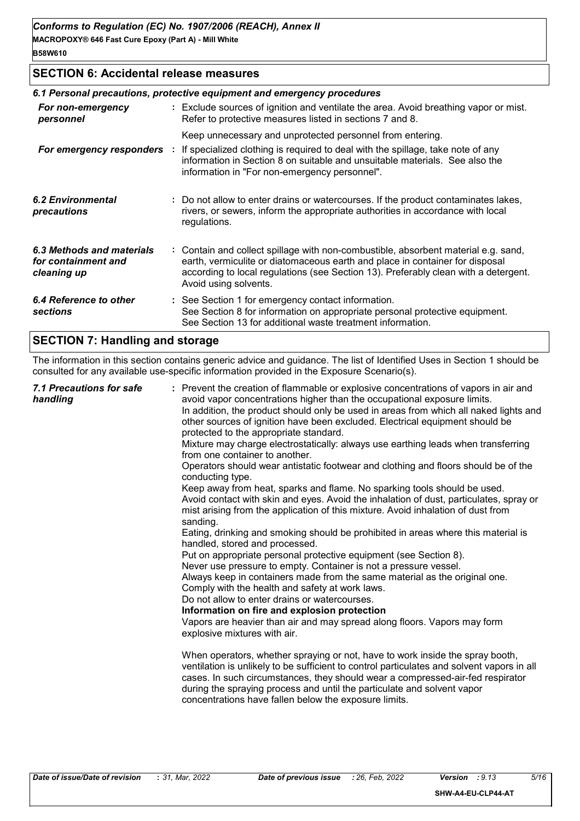## **SECTION 6: Accidental release measures**

|                                                                 | 6.1 Personal precautions, protective equipment and emergency procedures |                                                                                                                                                                                                                                                                                    |  |  |
|-----------------------------------------------------------------|-------------------------------------------------------------------------|------------------------------------------------------------------------------------------------------------------------------------------------------------------------------------------------------------------------------------------------------------------------------------|--|--|
| For non-emergency<br>personnel                                  |                                                                         | : Exclude sources of ignition and ventilate the area. Avoid breathing vapor or mist.<br>Refer to protective measures listed in sections 7 and 8.                                                                                                                                   |  |  |
|                                                                 |                                                                         | Keep unnecessary and unprotected personnel from entering.                                                                                                                                                                                                                          |  |  |
| For emergency responders :                                      |                                                                         | If specialized clothing is required to deal with the spillage, take note of any<br>information in Section 8 on suitable and unsuitable materials. See also the<br>information in "For non-emergency personnel".                                                                    |  |  |
| 6.2 Environmental<br>precautions                                |                                                                         | : Do not allow to enter drains or watercourses. If the product contaminates lakes,<br>rivers, or sewers, inform the appropriate authorities in accordance with local<br>regulations.                                                                                               |  |  |
| 6.3 Methods and materials<br>for containment and<br>cleaning up |                                                                         | : Contain and collect spillage with non-combustible, absorbent material e.g. sand,<br>earth, vermiculite or diatomaceous earth and place in container for disposal<br>according to local regulations (see Section 13). Preferably clean with a detergent.<br>Avoid using solvents. |  |  |
| 6.4 Reference to other<br>sections                              |                                                                         | : See Section 1 for emergency contact information.<br>See Section 8 for information on appropriate personal protective equipment.<br>See Section 13 for additional waste treatment information.                                                                                    |  |  |
|                                                                 |                                                                         |                                                                                                                                                                                                                                                                                    |  |  |

# **SECTION 7: Handling and storage**

The information in this section contains generic advice and guidance. The list of Identified Uses in Section 1 should be consulted for any available use-specific information provided in the Exposure Scenario(s).

| 7.1 Precautions for safe<br>handling<br>sanding. | : Prevent the creation of flammable or explosive concentrations of vapors in air and<br>avoid vapor concentrations higher than the occupational exposure limits.<br>In addition, the product should only be used in areas from which all naked lights and<br>other sources of ignition have been excluded. Electrical equipment should be<br>protected to the appropriate standard.<br>Mixture may charge electrostatically: always use earthing leads when transferring<br>from one container to another.<br>Operators should wear antistatic footwear and clothing and floors should be of the<br>conducting type.<br>Keep away from heat, sparks and flame. No sparking tools should be used.<br>Avoid contact with skin and eyes. Avoid the inhalation of dust, particulates, spray or<br>mist arising from the application of this mixture. Avoid inhalation of dust from<br>Eating, drinking and smoking should be prohibited in areas where this material is<br>handled, stored and processed.<br>Put on appropriate personal protective equipment (see Section 8).<br>Never use pressure to empty. Container is not a pressure vessel.<br>Always keep in containers made from the same material as the original one.<br>Comply with the health and safety at work laws.<br>Do not allow to enter drains or watercourses.<br>Information on fire and explosion protection<br>Vapors are heavier than air and may spread along floors. Vapors may form<br>explosive mixtures with air.<br>When operators, whether spraying or not, have to work inside the spray booth,<br>ventilation is unlikely to be sufficient to control particulates and solvent vapors in all<br>cases. In such circumstances, they should wear a compressed-air-fed respirator<br>during the spraying process and until the particulate and solvent vapor<br>concentrations have fallen below the exposure limits. |
|--------------------------------------------------|---------------------------------------------------------------------------------------------------------------------------------------------------------------------------------------------------------------------------------------------------------------------------------------------------------------------------------------------------------------------------------------------------------------------------------------------------------------------------------------------------------------------------------------------------------------------------------------------------------------------------------------------------------------------------------------------------------------------------------------------------------------------------------------------------------------------------------------------------------------------------------------------------------------------------------------------------------------------------------------------------------------------------------------------------------------------------------------------------------------------------------------------------------------------------------------------------------------------------------------------------------------------------------------------------------------------------------------------------------------------------------------------------------------------------------------------------------------------------------------------------------------------------------------------------------------------------------------------------------------------------------------------------------------------------------------------------------------------------------------------------------------------------------------------------------------------------------------------------------------------------------------------------|
|--------------------------------------------------|---------------------------------------------------------------------------------------------------------------------------------------------------------------------------------------------------------------------------------------------------------------------------------------------------------------------------------------------------------------------------------------------------------------------------------------------------------------------------------------------------------------------------------------------------------------------------------------------------------------------------------------------------------------------------------------------------------------------------------------------------------------------------------------------------------------------------------------------------------------------------------------------------------------------------------------------------------------------------------------------------------------------------------------------------------------------------------------------------------------------------------------------------------------------------------------------------------------------------------------------------------------------------------------------------------------------------------------------------------------------------------------------------------------------------------------------------------------------------------------------------------------------------------------------------------------------------------------------------------------------------------------------------------------------------------------------------------------------------------------------------------------------------------------------------------------------------------------------------------------------------------------------------|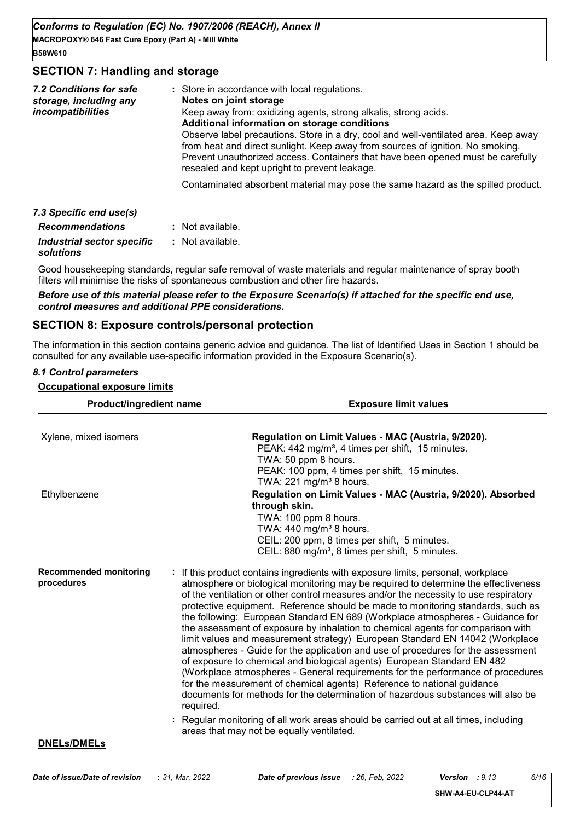**MACROPOXY® 646 Fast Cure Epoxy (Part A) - Mill White B58W610**

#### **SECTION 7: Handling and storage**

| 7.2 Conditions for safe<br>storage, including any<br><i>incompatibilities</i> | : Store in accordance with local regulations.<br>Notes on joint storage<br>Keep away from: oxidizing agents, strong alkalis, strong acids.<br>Additional information on storage conditions                                                                                                                |
|-------------------------------------------------------------------------------|-----------------------------------------------------------------------------------------------------------------------------------------------------------------------------------------------------------------------------------------------------------------------------------------------------------|
|                                                                               | Observe label precautions. Store in a dry, cool and well-ventilated area. Keep away<br>from heat and direct sunlight. Keep away from sources of ignition. No smoking.<br>Prevent unauthorized access. Containers that have been opened must be carefully<br>resealed and kept upright to prevent leakage. |
|                                                                               | Contaminated absorbent material may pose the same hazard as the spilled product.                                                                                                                                                                                                                          |
| 7.3 Specific end use(s)                                                       |                                                                                                                                                                                                                                                                                                           |
| <b>Recommendations</b>                                                        | : Not available.                                                                                                                                                                                                                                                                                          |
|                                                                               |                                                                                                                                                                                                                                                                                                           |

*Industrial sector specific* **:** *solutions* : Not available.

Good housekeeping standards, regular safe removal of waste materials and regular maintenance of spray booth filters will minimise the risks of spontaneous combustion and other fire hazards.

*Before use of this material please refer to the Exposure Scenario(s) if attached for the specific end use, control measures and additional PPE considerations.*

#### **SECTION 8: Exposure controls/personal protection**

The information in this section contains generic advice and guidance. The list of Identified Uses in Section 1 should be consulted for any available use-specific information provided in the Exposure Scenario(s).

#### *8.1 Control parameters*

#### **Occupational exposure limits**

| <b>Product/ingredient name</b>              |           | <b>Exposure limit values</b>                                                                                                                                                                                                                                                                                                                                                                                                                                                                                                                                                                                                                                                                                                                                                                                                                                                                                                                                                                                                                                                                                                                             |  |  |
|---------------------------------------------|-----------|----------------------------------------------------------------------------------------------------------------------------------------------------------------------------------------------------------------------------------------------------------------------------------------------------------------------------------------------------------------------------------------------------------------------------------------------------------------------------------------------------------------------------------------------------------------------------------------------------------------------------------------------------------------------------------------------------------------------------------------------------------------------------------------------------------------------------------------------------------------------------------------------------------------------------------------------------------------------------------------------------------------------------------------------------------------------------------------------------------------------------------------------------------|--|--|
| Xylene, mixed isomers                       |           | Regulation on Limit Values - MAC (Austria, 9/2020).<br>PEAK: 442 mg/m <sup>3</sup> , 4 times per shift, 15 minutes.<br>TWA: 50 ppm 8 hours.<br>PEAK: 100 ppm, 4 times per shift, 15 minutes.<br>TWA: 221 mg/m <sup>3</sup> 8 hours.                                                                                                                                                                                                                                                                                                                                                                                                                                                                                                                                                                                                                                                                                                                                                                                                                                                                                                                      |  |  |
| Ethylbenzene                                |           | Regulation on Limit Values - MAC (Austria, 9/2020). Absorbed<br>through skin.<br>TWA: 100 ppm 8 hours.<br>TWA: $440$ mg/m <sup>3</sup> 8 hours.<br>CEIL: 200 ppm, 8 times per shift, 5 minutes.<br>CEIL: 880 mg/m <sup>3</sup> , 8 times per shift, 5 minutes.                                                                                                                                                                                                                                                                                                                                                                                                                                                                                                                                                                                                                                                                                                                                                                                                                                                                                           |  |  |
| <b>Recommended monitoring</b><br>procedures | required. | If this product contains ingredients with exposure limits, personal, workplace<br>atmosphere or biological monitoring may be required to determine the effectiveness<br>of the ventilation or other control measures and/or the necessity to use respiratory<br>protective equipment. Reference should be made to monitoring standards, such as<br>the following: European Standard EN 689 (Workplace atmospheres - Guidance for<br>the assessment of exposure by inhalation to chemical agents for comparison with<br>limit values and measurement strategy) European Standard EN 14042 (Workplace<br>atmospheres - Guide for the application and use of procedures for the assessment<br>of exposure to chemical and biological agents) European Standard EN 482<br>(Workplace atmospheres - General requirements for the performance of procedures<br>for the measurement of chemical agents) Reference to national guidance<br>documents for methods for the determination of hazardous substances will also be<br>: Regular monitoring of all work areas should be carried out at all times, including<br>areas that may not be equally ventilated. |  |  |
| <b>DNELs/DMELs</b>                          |           |                                                                                                                                                                                                                                                                                                                                                                                                                                                                                                                                                                                                                                                                                                                                                                                                                                                                                                                                                                                                                                                                                                                                                          |  |  |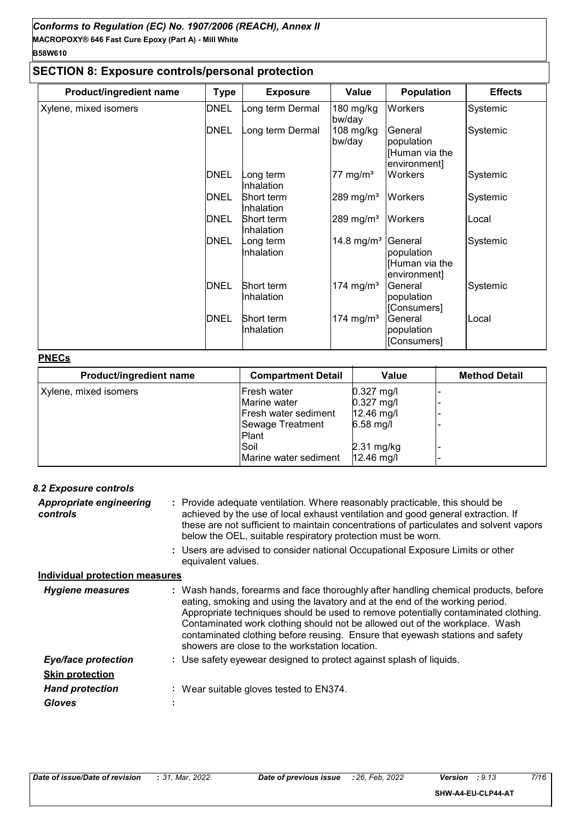# **SECTION 8: Exposure controls/personal protection**

| <b>Product/ingredient name</b> | <b>Type</b> | <b>Exposure</b>                 | Value                  | <b>Population</b>                                       | <b>Effects</b> |
|--------------------------------|-------------|---------------------------------|------------------------|---------------------------------------------------------|----------------|
| Xylene, mixed isomers          | <b>DNEL</b> | ong term Dermal                 | 180 mg/kg<br>bw/day    | Workers                                                 | Systemic       |
|                                | <b>DNEL</b> | ong term Dermal                 | $108$ mg/kg<br>bw/day  | General<br>population<br>[Human via the<br>environment] | Systemic       |
|                                | <b>DNEL</b> | ong term<br>Inhalation          | 77 mg/m <sup>3</sup>   | Workers                                                 | Systemic       |
|                                | <b>DNEL</b> | <b>Short term</b><br>Inhalation | 289 mg/m <sup>3</sup>  | Workers                                                 | Systemic       |
|                                | <b>DNEL</b> | Short term<br>Inhalation        | 289 mg/m <sup>3</sup>  | <b>Workers</b>                                          | Local          |
|                                | <b>DNEL</b> | ong term<br>Inhalation          | 14.8 mg/m <sup>3</sup> | General<br>population<br>[Human via the<br>environment] | Systemic       |
|                                | <b>DNEL</b> | Short term<br>Inhalation        | 174 mg/m <sup>3</sup>  | General<br>population<br>[Consumers]                    | Systemic       |
|                                | <b>DNEL</b> | Short term<br>Inhalation        | 174 mg/m <sup>3</sup>  | General<br>population<br>[Consumers]                    | Local          |

#### **PNECs**

| Product/ingredient name | <b>Compartment Detail</b> | Value                | <b>Method Detail</b> |
|-------------------------|---------------------------|----------------------|----------------------|
| Xylene, mixed isomers   | Fresh water               | $0.327$ mg/l         |                      |
|                         | Marine water              | $0.327$ mg/l         |                      |
|                         | Fresh water sediment      | $12.46$ mg/l         |                      |
|                         | Sewage Treatment          | $6.58$ mg/l          |                      |
|                         | Plant                     |                      |                      |
|                         | Soil                      | $2.31 \text{ mg/kg}$ |                      |
|                         | lMarine water sediment    | $12.46$ mg/l         |                      |

| <b>8.2 Exposure controls</b>          |                                                                                                                                                                                                                                                                                                                                                                                                                                                                             |
|---------------------------------------|-----------------------------------------------------------------------------------------------------------------------------------------------------------------------------------------------------------------------------------------------------------------------------------------------------------------------------------------------------------------------------------------------------------------------------------------------------------------------------|
| Appropriate engineering<br>controls   | : Provide adequate ventilation. Where reasonably practicable, this should be<br>achieved by the use of local exhaust ventilation and good general extraction. If<br>these are not sufficient to maintain concentrations of particulates and solvent vapors<br>below the OEL, suitable respiratory protection must be worn.                                                                                                                                                  |
|                                       | : Users are advised to consider national Occupational Exposure Limits or other<br>equivalent values.                                                                                                                                                                                                                                                                                                                                                                        |
| <u>Individual protection measures</u> |                                                                                                                                                                                                                                                                                                                                                                                                                                                                             |
| <b>Hygiene measures</b>               | : Wash hands, forearms and face thoroughly after handling chemical products, before<br>eating, smoking and using the lavatory and at the end of the working period.<br>Appropriate techniques should be used to remove potentially contaminated clothing.<br>Contaminated work clothing should not be allowed out of the workplace. Wash<br>contaminated clothing before reusing. Ensure that eyewash stations and safety<br>showers are close to the workstation location. |
| <b>Eye/face protection</b>            | : Use safety eyewear designed to protect against splash of liquids.                                                                                                                                                                                                                                                                                                                                                                                                         |
| <b>Skin protection</b>                |                                                                                                                                                                                                                                                                                                                                                                                                                                                                             |
| <b>Hand protection</b>                | : Wear suitable gloves tested to EN374.                                                                                                                                                                                                                                                                                                                                                                                                                                     |
| <b>Gloves</b>                         |                                                                                                                                                                                                                                                                                                                                                                                                                                                                             |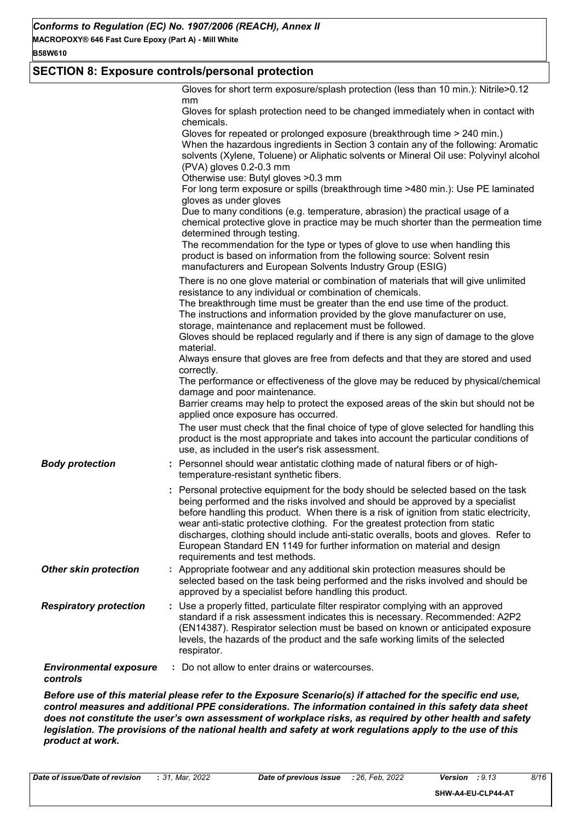# **SECTION 8: Exposure controls/personal protection**

|                                           | Gloves for short term exposure/splash protection (less than 10 min.): Nitrile>0.12<br>mm<br>Gloves for splash protection need to be changed immediately when in contact with<br>chemicals.<br>Gloves for repeated or prolonged exposure (breakthrough time > 240 min.)<br>When the hazardous ingredients in Section 3 contain any of the following: Aromatic<br>solvents (Xylene, Toluene) or Aliphatic solvents or Mineral Oil use: Polyvinyl alcohol<br>(PVA) gloves 0.2-0.3 mm<br>Otherwise use: Butyl gloves > 0.3 mm<br>For long term exposure or spills (breakthrough time >480 min.): Use PE laminated<br>gloves as under gloves<br>Due to many conditions (e.g. temperature, abrasion) the practical usage of a<br>chemical protective glove in practice may be much shorter than the permeation time<br>determined through testing.<br>The recommendation for the type or types of glove to use when handling this |
|-------------------------------------------|-----------------------------------------------------------------------------------------------------------------------------------------------------------------------------------------------------------------------------------------------------------------------------------------------------------------------------------------------------------------------------------------------------------------------------------------------------------------------------------------------------------------------------------------------------------------------------------------------------------------------------------------------------------------------------------------------------------------------------------------------------------------------------------------------------------------------------------------------------------------------------------------------------------------------------|
|                                           | product is based on information from the following source: Solvent resin<br>manufacturers and European Solvents Industry Group (ESIG)<br>There is no one glove material or combination of materials that will give unlimited<br>resistance to any individual or combination of chemicals.<br>The breakthrough time must be greater than the end use time of the product.<br>The instructions and information provided by the glove manufacturer on use,<br>storage, maintenance and replacement must be followed.<br>Gloves should be replaced regularly and if there is any sign of damage to the glove                                                                                                                                                                                                                                                                                                                    |
|                                           | material.<br>Always ensure that gloves are free from defects and that they are stored and used<br>correctly.<br>The performance or effectiveness of the glove may be reduced by physical/chemical<br>damage and poor maintenance.<br>Barrier creams may help to protect the exposed areas of the skin but should not be<br>applied once exposure has occurred.                                                                                                                                                                                                                                                                                                                                                                                                                                                                                                                                                              |
|                                           | The user must check that the final choice of type of glove selected for handling this<br>product is the most appropriate and takes into account the particular conditions of<br>use, as included in the user's risk assessment.                                                                                                                                                                                                                                                                                                                                                                                                                                                                                                                                                                                                                                                                                             |
| <b>Body protection</b>                    | : Personnel should wear antistatic clothing made of natural fibers or of high-<br>temperature-resistant synthetic fibers.                                                                                                                                                                                                                                                                                                                                                                                                                                                                                                                                                                                                                                                                                                                                                                                                   |
|                                           | : Personal protective equipment for the body should be selected based on the task<br>being performed and the risks involved and should be approved by a specialist<br>before handling this product. When there is a risk of ignition from static electricity,<br>wear anti-static protective clothing. For the greatest protection from static<br>discharges, clothing should include anti-static overalls, boots and gloves. Refer to<br>European Standard EN 1149 for further information on material and design<br>requirements and test methods.                                                                                                                                                                                                                                                                                                                                                                        |
| <b>Other skin protection</b>              | : Appropriate footwear and any additional skin protection measures should be<br>selected based on the task being performed and the risks involved and should be<br>approved by a specialist before handling this product.                                                                                                                                                                                                                                                                                                                                                                                                                                                                                                                                                                                                                                                                                                   |
| <b>Respiratory protection</b>             | : Use a properly fitted, particulate filter respirator complying with an approved<br>standard if a risk assessment indicates this is necessary. Recommended: A2P2<br>(EN14387). Respirator selection must be based on known or anticipated exposure<br>levels, the hazards of the product and the safe working limits of the selected<br>respirator.                                                                                                                                                                                                                                                                                                                                                                                                                                                                                                                                                                        |
| <b>Environmental exposure</b><br>controls | : Do not allow to enter drains or watercourses.                                                                                                                                                                                                                                                                                                                                                                                                                                                                                                                                                                                                                                                                                                                                                                                                                                                                             |

*Before use of this material please refer to the Exposure Scenario(s) if attached for the specific end use, control measures and additional PPE considerations. The information contained in this safety data sheet does not constitute the user's own assessment of workplace risks, as required by other health and safety legislation. The provisions of the national health and safety at work regulations apply to the use of this product at work.*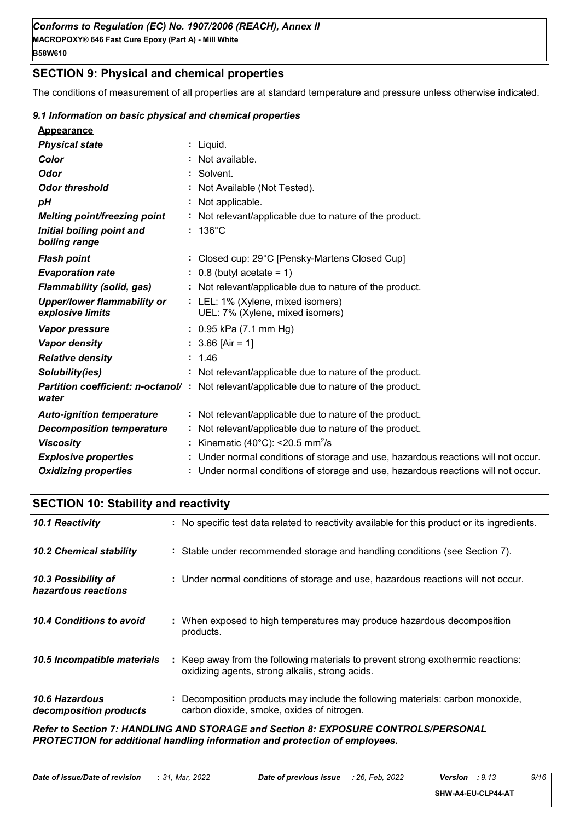# **SECTION 9: Physical and chemical properties**

The conditions of measurement of all properties are at standard temperature and pressure unless otherwise indicated.

#### *9.1 Information on basic physical and chemical properties*

| <b>Appearance</b>                                      |                                                                                          |
|--------------------------------------------------------|------------------------------------------------------------------------------------------|
| <b>Physical state</b>                                  | : Liquid.                                                                                |
| Color                                                  | : Not available.                                                                         |
| <b>Odor</b>                                            | : Solvent.                                                                               |
| <b>Odor threshold</b>                                  | : Not Available (Not Tested).                                                            |
| рH                                                     | : Not applicable.                                                                        |
| <b>Melting point/freezing point</b>                    | : Not relevant/applicable due to nature of the product.                                  |
| Initial boiling point and<br>boiling range             | $: 136^{\circ}$ C                                                                        |
| <b>Flash point</b>                                     | : Closed cup: 29°C [Pensky-Martens Closed Cup]                                           |
| <b>Evaporation rate</b>                                | $: 0.8$ (butyl acetate = 1)                                                              |
| <b>Flammability (solid, gas)</b>                       | : Not relevant/applicable due to nature of the product.                                  |
| <b>Upper/lower flammability or</b><br>explosive limits | : LEL: 1% (Xylene, mixed isomers)<br>UEL: 7% (Xylene, mixed isomers)                     |
| <b>Vapor pressure</b>                                  | $: 0.95$ kPa (7.1 mm Hg)                                                                 |
| <b>Vapor density</b>                                   | $: 3.66$ [Air = 1]                                                                       |
| <b>Relative density</b>                                | : 1.46                                                                                   |
| Solubility(ies)                                        | : Not relevant/applicable due to nature of the product.                                  |
| water                                                  | Partition coefficient: n-octanol/: Not relevant/applicable due to nature of the product. |
| <b>Auto-ignition temperature</b>                       | : Not relevant/applicable due to nature of the product.                                  |
| <b>Decomposition temperature</b>                       | : Not relevant/applicable due to nature of the product.                                  |
| <b>Viscosity</b>                                       | : Kinematic (40°C): <20.5 mm <sup>2</sup> /s                                             |
| <b>Explosive properties</b>                            | : Under normal conditions of storage and use, hazardous reactions will not occur.        |
| <b>Oxidizing properties</b>                            | : Under normal conditions of storage and use, hazardous reactions will not occur.        |

# **SECTION 10: Stability and reactivity**

| 10.1 Reactivity                            | : No specific test data related to reactivity available for this product or its ingredients.                                        |
|--------------------------------------------|-------------------------------------------------------------------------------------------------------------------------------------|
| <b>10.2 Chemical stability</b>             | : Stable under recommended storage and handling conditions (see Section 7).                                                         |
| 10.3 Possibility of<br>hazardous reactions | : Under normal conditions of storage and use, hazardous reactions will not occur.                                                   |
| 10.4 Conditions to avoid                   | : When exposed to high temperatures may produce hazardous decomposition<br>products.                                                |
| 10.5 Incompatible materials                | : Keep away from the following materials to prevent strong exothermic reactions:<br>oxidizing agents, strong alkalis, strong acids. |
| 10.6 Hazardous<br>decomposition products   | : Decomposition products may include the following materials: carbon monoxide,<br>carbon dioxide, smoke, oxides of nitrogen.        |
|                                            | Refer to Section 7: HANDLING AND STORAGE and Section 8: EXPOSURE CONTROLS/PERSONAL                                                  |

*PROTECTION for additional handling information and protection of employees.*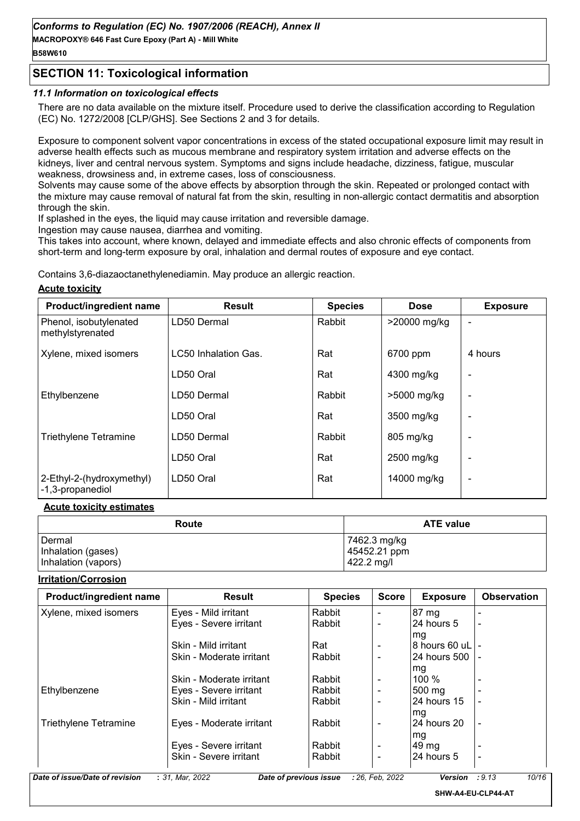# **SECTION 11: Toxicological information**

# *11.1 Information on toxicological effects*

There are no data available on the mixture itself. Procedure used to derive the classification according to Regulation (EC) No. 1272/2008 [CLP/GHS]. See Sections 2 and 3 for details.

Exposure to component solvent vapor concentrations in excess of the stated occupational exposure limit may result in adverse health effects such as mucous membrane and respiratory system irritation and adverse effects on the kidneys, liver and central nervous system. Symptoms and signs include headache, dizziness, fatigue, muscular weakness, drowsiness and, in extreme cases, loss of consciousness.

Solvents may cause some of the above effects by absorption through the skin. Repeated or prolonged contact with the mixture may cause removal of natural fat from the skin, resulting in non-allergic contact dermatitis and absorption through the skin.

If splashed in the eyes, the liquid may cause irritation and reversible damage.

Ingestion may cause nausea, diarrhea and vomiting.

This takes into account, where known, delayed and immediate effects and also chronic effects of components from short-term and long-term exposure by oral, inhalation and dermal routes of exposure and eve contact.

Contains 3,6-diazaoctanethylenediamin. May produce an allergic reaction.

# **Acute toxicity**

| Product/ingredient name                       | <b>Result</b>        | <b>Species</b> | <b>Dose</b>  | <b>Exposure</b>          |
|-----------------------------------------------|----------------------|----------------|--------------|--------------------------|
| Phenol, isobutylenated<br>methylstyrenated    | LD50 Dermal          | Rabbit         | >20000 mg/kg |                          |
| Xylene, mixed isomers                         | LC50 Inhalation Gas. | Rat            | 6700 ppm     | 4 hours                  |
|                                               | LD50 Oral            | Rat            | 4300 mg/kg   |                          |
| Ethylbenzene                                  | LD50 Dermal          | Rabbit         | >5000 mg/kg  |                          |
|                                               | LD50 Oral            | Rat            | 3500 mg/kg   |                          |
| <b>Triethylene Tetramine</b>                  | LD50 Dermal          | Rabbit         | 805 mg/kg    |                          |
|                                               | LD50 Oral            | Rat            | 2500 mg/kg   |                          |
| 2-Ethyl-2-(hydroxymethyl)<br>-1,3-propanediol | LD50 Oral            | Rat            | 14000 mg/kg  | $\overline{\phantom{0}}$ |

#### **Acute toxicity estimates**

| Route               | <b>ATE value</b> |
|---------------------|------------------|
| Dermal              | 7462.3 mg/kg     |
| Inhalation (gases)  | 45452.21 ppm     |
| Inhalation (vapors) | 422.2 mg/l       |

#### **Irritation/Corrosion**

| Product/ingredient name | <b>Result</b>            | <b>Species</b> | <b>Score</b>   | <b>Exposure</b> | <b>Observation</b> |
|-------------------------|--------------------------|----------------|----------------|-----------------|--------------------|
| Xylene, mixed isomers   | Eyes - Mild irritant     | Rabbit         |                | 87 mg           |                    |
|                         | Eyes - Severe irritant   | Rabbit         | $\blacksquare$ | 24 hours 5      |                    |
|                         |                          |                |                | mg              |                    |
|                         | Skin - Mild irritant     | Rat            |                | 8 hours 60 uL   |                    |
|                         | Skin - Moderate irritant | Rabbit         | $\blacksquare$ | I24 hours 500   |                    |
|                         |                          |                |                | mg              |                    |
|                         | Skin - Moderate irritant | Rabbit         |                | $100 \%$        |                    |
| Ethylbenzene            | Eyes - Severe irritant   | Rabbit         |                | 500 mg          |                    |
|                         | Skin - Mild irritant     | Rabbit         |                | 24 hours 15     |                    |
|                         |                          |                |                | mg              |                    |
| Triethylene Tetramine   | Eyes - Moderate irritant | Rabbit         |                | 24 hours 20     |                    |
|                         |                          |                |                | mg              |                    |
|                         | Eyes - Severe irritant   | Rabbit         |                | $49 \text{ mg}$ |                    |
|                         | Skin - Severe irritant   | Rabbit         |                | 24 hours 5      |                    |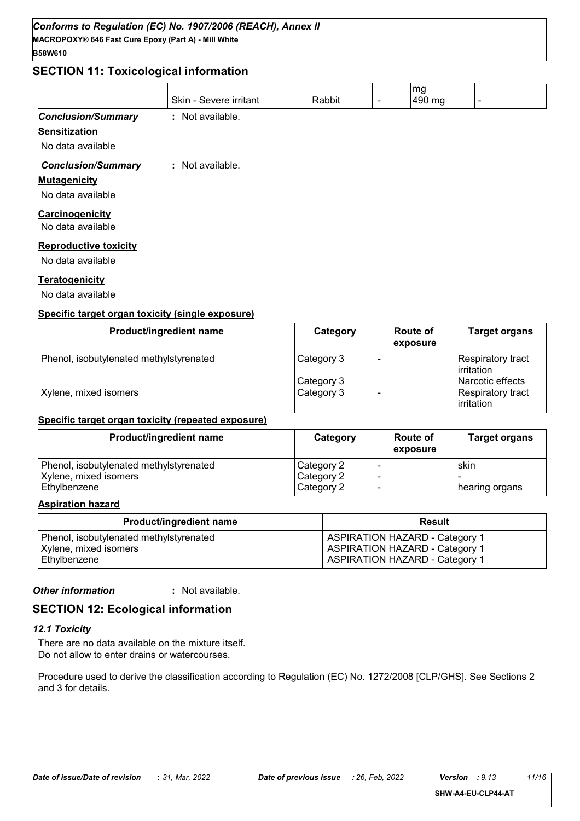# **SECTION 11: Toxicological information**

| $5$ LUI III. TUXICOIOgICAI IIIIUIIIIAUUII |                        |        |  |              |  |  |  |
|-------------------------------------------|------------------------|--------|--|--------------|--|--|--|
|                                           | Skin - Severe irritant | Rabbit |  | mg<br>490 mg |  |  |  |
| <b>Conclusion/Summary</b>                 | : Not available.       |        |  |              |  |  |  |
| <b>Sensitization</b>                      |                        |        |  |              |  |  |  |

No data available

#### *Conclusion/Summary* **:** Not available.

#### **Mutagenicity**

No data available

#### **Carcinogenicity**

No data available

#### **Reproductive toxicity**

No data available

#### **Teratogenicity**

No data available

#### **Specific target organ toxicity (single exposure)**

| Product/ingredient name                 | Category   | <b>Route of</b><br>exposure | <b>Target organs</b>             |
|-----------------------------------------|------------|-----------------------------|----------------------------------|
| Phenol, isobutylenated methylstyrenated | Category 3 |                             | Respiratory tract<br>irritation  |
|                                         | Category 3 |                             | l Narcotic effects               |
| Xylene, mixed isomers                   | Category 3 |                             | Respiratory tract_<br>irritation |

#### **Specific target organ toxicity (repeated exposure)**

| Product/ingredient name                 | Category   | Route of<br>exposure | <b>Target organs</b> |
|-----------------------------------------|------------|----------------------|----------------------|
| Phenol, isobutylenated methylstyrenated | Category 2 |                      | skin                 |
| Xylene, mixed isomers                   | Category 2 |                      |                      |
| l Ethvlbenzene                          | Category 2 |                      | hearing organs       |

#### **Aspiration hazard**

| <b>Product/ingredient name</b>          | Result                                |
|-----------------------------------------|---------------------------------------|
| Phenol, isobutylenated methylstyrenated | <b>ASPIRATION HAZARD - Category 1</b> |
| Xylene, mixed isomers                   | <b>ASPIRATION HAZARD - Category 1</b> |
| Ethylbenzene                            | <b>ASPIRATION HAZARD - Category 1</b> |

#### *Other information* **:**

: Not available.

#### **SECTION 12: Ecological information**

#### *12.1 Toxicity*

There are no data available on the mixture itself. Do not allow to enter drains or watercourses.

Procedure used to derive the classification according to Regulation (EC) No. 1272/2008 [CLP/GHS]. See Sections 2 and 3 for details.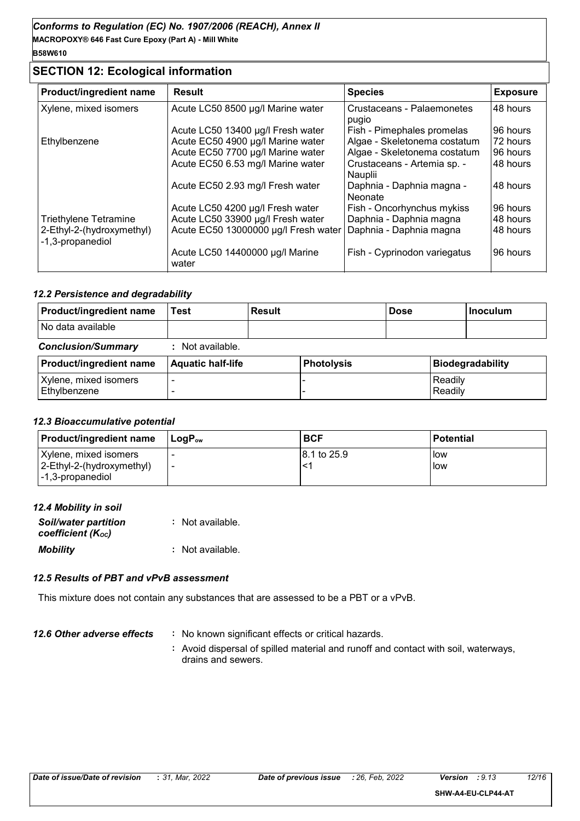# **SECTION 12: Ecological information**

| Product/ingredient name                       | <b>Result</b>                            | <b>Species</b>                         | <b>Exposure</b> |
|-----------------------------------------------|------------------------------------------|----------------------------------------|-----------------|
| Xylene, mixed isomers                         | Acute LC50 8500 µg/l Marine water        | Crustaceans - Palaemonetes<br>pugio    | 48 hours        |
|                                               | Acute LC50 13400 µg/l Fresh water        | Fish - Pimephales promelas             | 96 hours        |
| Ethylbenzene                                  | Acute EC50 4900 µg/l Marine water        | Algae - Skeletonema costatum           | 72 hours        |
|                                               | Acute EC50 7700 µg/l Marine water        | Algae - Skeletonema costatum           | 96 hours        |
|                                               | Acute EC50 6.53 mg/l Marine water        | Crustaceans - Artemia sp. -<br>Nauplii | 48 hours        |
|                                               | Acute EC50 2.93 mg/l Fresh water         | Daphnia - Daphnia magna -<br>Neonate   | 48 hours        |
|                                               | Acute LC50 4200 µg/l Fresh water         | Fish - Oncorhynchus mykiss             | 96 hours        |
| Triethylene Tetramine                         | Acute LC50 33900 µg/l Fresh water        | Daphnia - Daphnia magna                | 48 hours        |
| 2-Ethyl-2-(hydroxymethyl)<br>-1,3-propanediol | Acute EC50 13000000 µg/l Fresh water     | Daphnia - Daphnia magna                | 48 hours        |
|                                               | Acute LC50 14400000 µg/l Marine<br>water | Fish - Cyprinodon variegatus           | 96 hours        |

#### *12.2 Persistence and degradability*

| Product/ingredient name               | Test                     | <b>Result</b> |                   | <b>Dose</b> |                    | <b>Inoculum</b>         |
|---------------------------------------|--------------------------|---------------|-------------------|-------------|--------------------|-------------------------|
| No data available                     |                          |               |                   |             |                    |                         |
| <b>Conclusion/Summary</b>             | : Not available.         |               |                   |             |                    |                         |
| Product/ingredient name               | <b>Aquatic half-life</b> |               | <b>Photolysis</b> |             |                    | <b>Biodegradability</b> |
| Xylene, mixed isomers<br>Ethylbenzene |                          |               |                   |             | Readily<br>Readily |                         |

#### *12.3 Bioaccumulative potential*

| <b>Product/ingredient name</b>                                         | ⊺LoɑP <sub>∾</sub> | <b>BCF</b>   | <b>Potential</b>      |
|------------------------------------------------------------------------|--------------------|--------------|-----------------------|
| Xylene, mixed isomers<br>2-Ethyl-2-(hydroxymethyl)<br>-1,3-propanediol |                    | 18.1 to 25.9 | <b>I</b> low<br>l low |

#### *12.4 Mobility in soil*

| <b>Soil/water partition</b><br>coefficient (K <sub>oc</sub> ) | : Not available. |
|---------------------------------------------------------------|------------------|
| <b>Mobility</b>                                               | : Not available. |

#### *12.5 Results of PBT and vPvB assessment*

This mixture does not contain any substances that are assessed to be a PBT or a vPvB.

- *12.6 Other adverse effects* : No known significant effects or critical hazards.
	- **:** Avoid dispersal of spilled material and runoff and contact with soil, waterways, drains and sewers.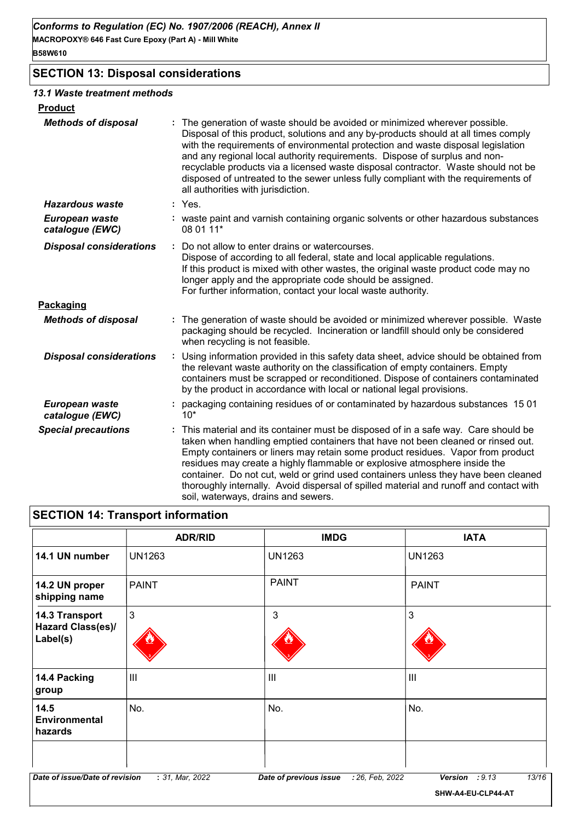# **SECTION 13: Disposal considerations**

#### *13.1 Waste treatment methods*

| <b>Product</b>                    |    |                                                                                                                                                                                                                                                                                                                                                                                                                                                                                                                                                              |
|-----------------------------------|----|--------------------------------------------------------------------------------------------------------------------------------------------------------------------------------------------------------------------------------------------------------------------------------------------------------------------------------------------------------------------------------------------------------------------------------------------------------------------------------------------------------------------------------------------------------------|
| <b>Methods of disposal</b>        |    | The generation of waste should be avoided or minimized wherever possible.<br>Disposal of this product, solutions and any by-products should at all times comply<br>with the requirements of environmental protection and waste disposal legislation<br>and any regional local authority requirements. Dispose of surplus and non-<br>recyclable products via a licensed waste disposal contractor. Waste should not be<br>disposed of untreated to the sewer unless fully compliant with the requirements of<br>all authorities with jurisdiction.           |
| <b>Hazardous waste</b>            |    | : Yes.                                                                                                                                                                                                                                                                                                                                                                                                                                                                                                                                                       |
| European waste<br>catalogue (EWC) |    | : waste paint and varnish containing organic solvents or other hazardous substances<br>08 01 11*                                                                                                                                                                                                                                                                                                                                                                                                                                                             |
| <b>Disposal considerations</b>    | ÷. | Do not allow to enter drains or watercourses.<br>Dispose of according to all federal, state and local applicable regulations.<br>If this product is mixed with other wastes, the original waste product code may no<br>longer apply and the appropriate code should be assigned.<br>For further information, contact your local waste authority.                                                                                                                                                                                                             |
| Packaging                         |    |                                                                                                                                                                                                                                                                                                                                                                                                                                                                                                                                                              |
| <b>Methods of disposal</b>        |    | : The generation of waste should be avoided or minimized wherever possible. Waste<br>packaging should be recycled. Incineration or landfill should only be considered<br>when recycling is not feasible.                                                                                                                                                                                                                                                                                                                                                     |
| <b>Disposal considerations</b>    |    | Using information provided in this safety data sheet, advice should be obtained from<br>the relevant waste authority on the classification of empty containers. Empty<br>containers must be scrapped or reconditioned. Dispose of containers contaminated<br>by the product in accordance with local or national legal provisions.                                                                                                                                                                                                                           |
| European waste<br>catalogue (EWC) |    | packaging containing residues of or contaminated by hazardous substances 1501<br>$10*$                                                                                                                                                                                                                                                                                                                                                                                                                                                                       |
| <b>Special precautions</b>        |    | This material and its container must be disposed of in a safe way. Care should be<br>taken when handling emptied containers that have not been cleaned or rinsed out.<br>Empty containers or liners may retain some product residues. Vapor from product<br>residues may create a highly flammable or explosive atmosphere inside the<br>container. Do not cut, weld or grind used containers unless they have been cleaned<br>thoroughly internally. Avoid dispersal of spilled material and runoff and contact with<br>soil, waterways, drains and sewers. |

# **SECTION 14: Transport information**

|                                                        | <b>ADR/RID</b>  | <b>IMDG</b>                               | <b>IATA</b>             |
|--------------------------------------------------------|-----------------|-------------------------------------------|-------------------------|
| 14.1 UN number                                         | <b>UN1263</b>   | <b>UN1263</b>                             | <b>UN1263</b>           |
| 14.2 UN proper<br>shipping name                        | <b>PAINT</b>    | <b>PAINT</b>                              | <b>PAINT</b>            |
| 14.3 Transport<br><b>Hazard Class(es)/</b><br>Label(s) | $\mathbf{3}$    | $\mathbf{3}$                              | $\mathbf{3}$            |
| 14.4 Packing<br>group                                  | III             | III                                       | $\mathbf{III}$          |
| 14.5<br>Environmental<br>hazards                       | No.             | No.                                       | No.                     |
| Date of issue/Date of revision                         | : 31, Mar, 2022 | : 26, Feb, 2022<br>Date of previous issue | 13/16<br>Version : 9.13 |
|                                                        |                 |                                           | SHW-A4-EU-CLP44-AT      |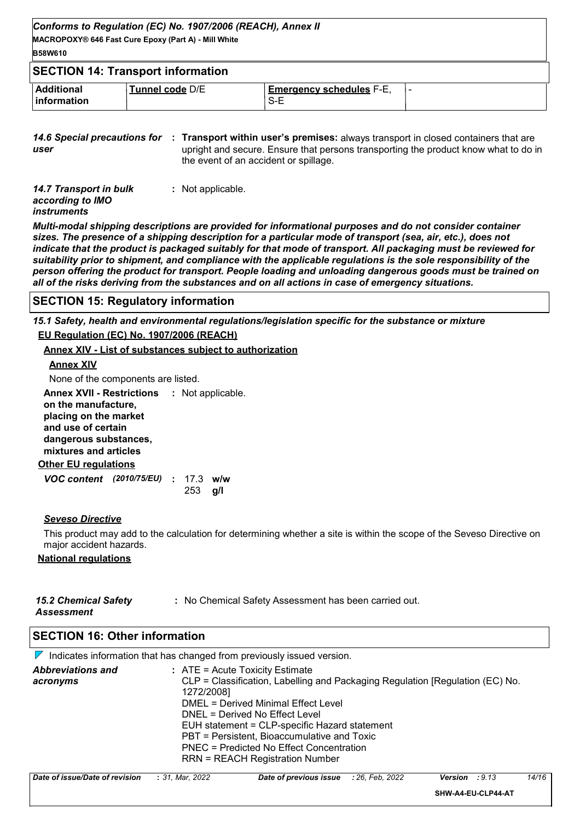| Conforms to Regulation (EC) No. 1907/2006 (REACH), Annex II<br>MACROPOXY® 646 Fast Cure Epoxy (Part A) - Mill White<br><b>B58W610</b> |                 |                                          |  |  |  |  |
|---------------------------------------------------------------------------------------------------------------------------------------|-----------------|------------------------------------------|--|--|--|--|
| <b>SECTION 14: Transport information</b>                                                                                              |                 |                                          |  |  |  |  |
| <b>Additional</b><br><b>Information</b>                                                                                               | Tunnel code D/E | <b>Emergency schedules F-E,</b><br>$S-E$ |  |  |  |  |

**14.6 Special precautions for : Transport within user's premises: always transport in closed containers that are** *user* upright and secure. Ensure that persons transporting the product know what to do in the event of an accident or spillage.

| 14.7 Transport in bulk | : Not applicable. |
|------------------------|-------------------|
| according to IMO       |                   |
| <i>instruments</i>     |                   |

*Multi-modal shipping descriptions are provided for informational purposes and do not consider container sizes. The presence of a shipping description for a particular mode of transport (sea, air, etc.), does not indicate that the product is packaged suitably for that mode of transport. All packaging must be reviewed for suitability prior to shipment, and compliance with the applicable regulations is the sole responsibility of the person offering the product for transport. People loading and unloading dangerous goods must be trained on all of the risks deriving from the substances and on all actions in case of emergency situations.*

#### **SECTION 15: Regulatory information**

*15.1 Safety, health and environmental regulations/legislation specific for the substance or mixture*

#### **EU Regulation (EC) No. 1907/2006 (REACH)**

#### **Annex XIV - List of substances subject to authorization**

#### **Annex XIV**

None of the components are listed.

**Other EU regulations Annex XVII - Restrictions :** Not applicable. **on the manufacture, placing on the market and use of certain dangerous substances, mixtures and articles**

| VOC content (2010/75/EU) : 17.3 w/w |  |                   |  |
|-------------------------------------|--|-------------------|--|
|                                     |  | $253 \text{ q/l}$ |  |

#### *Seveso Directive*

This product may add to the calculation for determining whether a site is within the scope of the Seveso Directive on major accident hazards.

#### **National regulations**

| <b>15.2 Chemical Safety</b> | : No Chemical Safety Assessment has been carried out. |
|-----------------------------|-------------------------------------------------------|
| <b>Assessment</b>           |                                                       |

#### **SECTION 16: Other information**

 $\nabla$  Indicates information that has changed from previously issued version. *Abbreviations and acronyms* **:** ATE = Acute Toxicity Estimate CLP = Classification, Labelling and Packaging Regulation [Regulation (EC) No. 1272/2008] DMEL = Derived Minimal Effect Level DNEL = Derived No Effect Level EUH statement = CLP-specific Hazard statement PBT = Persistent, Bioaccumulative and Toxic PNEC = Predicted No Effect Concentration RRN = REACH Registration Number

| Date of issue/Date of revision | : 31. Mar. 2022 | <b>Date of previous issue</b> : 26, Feb, 2022 | Version<br>: 9.13  | 14/16 |
|--------------------------------|-----------------|-----------------------------------------------|--------------------|-------|
|                                |                 |                                               | SHW-A4-EU-CLP44-AT |       |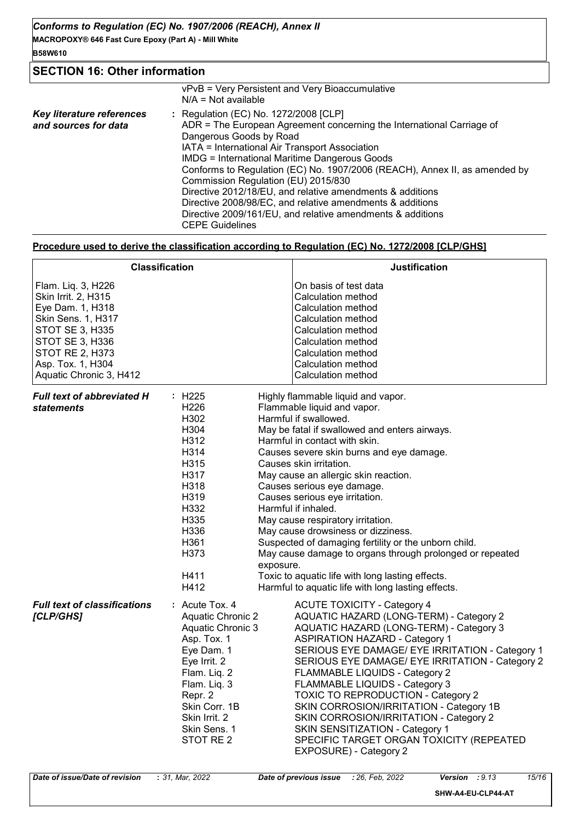# **SECTION 16: Other information**

|                                                   | vPvB = Very Persistent and Very Bioaccumulative<br>$N/A = Not available$                                                                                                                                                                                                                                                                                                                                                                                                                                                                                                                   |
|---------------------------------------------------|--------------------------------------------------------------------------------------------------------------------------------------------------------------------------------------------------------------------------------------------------------------------------------------------------------------------------------------------------------------------------------------------------------------------------------------------------------------------------------------------------------------------------------------------------------------------------------------------|
| Key literature references<br>and sources for data | : Regulation (EC) No. 1272/2008 [CLP]<br>ADR = The European Agreement concerning the International Carriage of<br>Dangerous Goods by Road<br>IATA = International Air Transport Association<br><b>IMDG = International Maritime Dangerous Goods</b><br>Conforms to Regulation (EC) No. 1907/2006 (REACH), Annex II, as amended by<br>Commission Regulation (EU) 2015/830<br>Directive 2012/18/EU, and relative amendments & additions<br>Directive 2008/98/EC, and relative amendments & additions<br>Directive 2009/161/EU, and relative amendments & additions<br><b>CEPE Guidelines</b> |

#### **Procedure used to derive the classification according to Regulation (EC) No. 1272/2008 [CLP/GHS]**

|                                                                                                                                                                                                            | <b>Classification</b>                                                                                                                                                                                                    | <b>Justification</b>                                                                                                                                                                                                                                                                                                                                                                                                                                                                                                                                                                                                                                                                        |
|------------------------------------------------------------------------------------------------------------------------------------------------------------------------------------------------------------|--------------------------------------------------------------------------------------------------------------------------------------------------------------------------------------------------------------------------|---------------------------------------------------------------------------------------------------------------------------------------------------------------------------------------------------------------------------------------------------------------------------------------------------------------------------------------------------------------------------------------------------------------------------------------------------------------------------------------------------------------------------------------------------------------------------------------------------------------------------------------------------------------------------------------------|
| Flam. Liq. 3, H226<br>Skin Irrit. 2, H315<br>Eye Dam. 1, H318<br>Skin Sens. 1, H317<br><b>STOT SE 3, H335</b><br>STOT SE 3, H336<br><b>STOT RE 2, H373</b><br>Asp. Tox. 1, H304<br>Aquatic Chronic 3, H412 |                                                                                                                                                                                                                          | On basis of test data<br>Calculation method<br>Calculation method<br>Calculation method<br>Calculation method<br>Calculation method<br>Calculation method<br>Calculation method<br>Calculation method                                                                                                                                                                                                                                                                                                                                                                                                                                                                                       |
| <b>Full text of abbreviated H</b><br><i>statements</i>                                                                                                                                                     | : H225<br>H <sub>226</sub><br>H302<br>H304<br>H312<br>H314<br>H315<br>H317<br>H318<br>H319<br>H332<br>H335<br>H336<br>H361<br>H373<br>exposure.<br>H411<br>H412                                                          | Highly flammable liquid and vapor.<br>Flammable liquid and vapor.<br>Harmful if swallowed.<br>May be fatal if swallowed and enters airways.<br>Harmful in contact with skin.<br>Causes severe skin burns and eye damage.<br>Causes skin irritation.<br>May cause an allergic skin reaction.<br>Causes serious eye damage.<br>Causes serious eye irritation.<br>Harmful if inhaled.<br>May cause respiratory irritation.<br>May cause drowsiness or dizziness.<br>Suspected of damaging fertility or the unborn child.<br>May cause damage to organs through prolonged or repeated<br>Toxic to aquatic life with long lasting effects.<br>Harmful to aquatic life with long lasting effects. |
| <b>Full text of classifications</b><br>[CLP/GHS]                                                                                                                                                           | $:$ Acute Tox, 4<br><b>Aquatic Chronic 2</b><br>Aquatic Chronic 3<br>Asp. Tox. 1<br>Eye Dam. 1<br>Eye Irrit. 2<br>Flam. Liq. 2<br>Flam. Liq. 3<br>Repr. 2<br>Skin Corr. 1B<br>Skin Irrit, 2<br>Skin Sens. 1<br>STOT RE 2 | <b>ACUTE TOXICITY - Category 4</b><br>AQUATIC HAZARD (LONG-TERM) - Category 2<br>AQUATIC HAZARD (LONG-TERM) - Category 3<br><b>ASPIRATION HAZARD - Category 1</b><br>SERIOUS EYE DAMAGE/ EYE IRRITATION - Category 1<br>SERIOUS EYE DAMAGE/ EYE IRRITATION - Category 2<br>FLAMMABLE LIQUIDS - Category 2<br>FLAMMABLE LIQUIDS - Category 3<br><b>TOXIC TO REPRODUCTION - Category 2</b><br>SKIN CORROSION/IRRITATION - Category 1B<br>SKIN CORROSION/IRRITATION - Category 2<br>SKIN SENSITIZATION - Category 1<br>SPECIFIC TARGET ORGAN TOXICITY (REPEATED<br>EXPOSURE) - Category 2                                                                                                      |